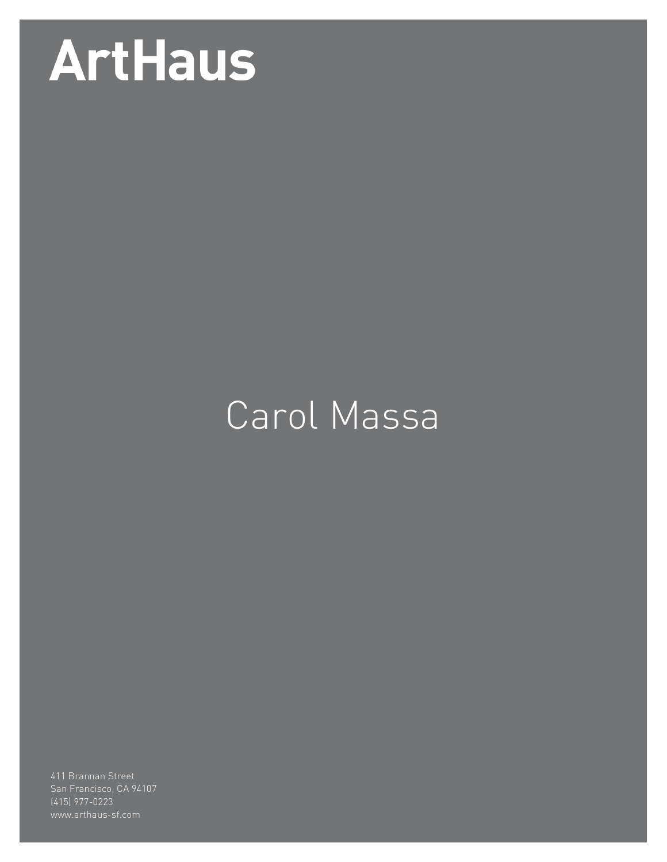# **ArtHaus**

## Carol Massa

(415) 977-0223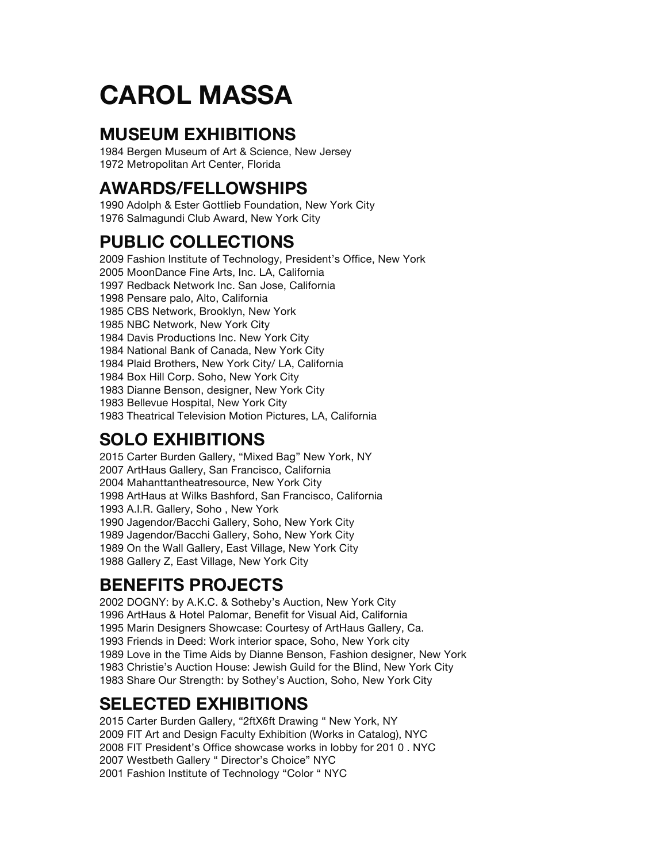### **CAROL MASSA**

#### **MUSEUM EXHIBITIONS**

1984 Bergen Museum of Art & Science, New Jersey 1972 Metropolitan Art Center, Florida

#### **AWARDS/FELLOWSHIPS**

1990 Adolph & Ester Gottlieb Foundation, New York City 1976 Salmagundi Club Award, New York City

#### **PUBLIC COLLECTIONS**

2009 Fashion Institute of Technology, President's Office, New York 2005 MoonDance Fine Arts, Inc. LA, California 1997 Redback Network Inc. San Jose, California 1998 Pensare palo, Alto, California 1985 CBS Network, Brooklyn, New York 1985 NBC Network, New York City 1984 Davis Productions Inc. New York City 1984 National Bank of Canada, New York City 1984 Plaid Brothers, New York City/ LA, California 1984 Box Hill Corp. Soho, New York City 1983 Dianne Benson, designer, New York City 1983 Bellevue Hospital, New York City 1983 Theatrical Television Motion Pictures, LA, California

#### **SOLO EXHIBITIONS**

2015 Carter Burden Gallery, "Mixed Bag" New York, NY 2007 ArtHaus Gallery, San Francisco, California 2004 Mahanttantheatresource, New York City 1998 ArtHaus at Wilks Bashford, San Francisco, California 1993 A.I.R. Gallery, Soho , New York 1990 Jagendor/Bacchi Gallery, Soho, New York City 1989 Jagendor/Bacchi Gallery, Soho, New York City 1989 On the Wall Gallery, East Village, New York City 1988 Gallery Z, East Village, New York City

#### **BENEFITS PROJECTS**

2002 DOGNY: by A.K.C. & Sotheby's Auction, New York City 1996 ArtHaus & Hotel Palomar, Benefit for Visual Aid, California 1995 Marin Designers Showcase: Courtesy of ArtHaus Gallery, Ca. 1993 Friends in Deed: Work interior space, Soho, New York city 1989 Love in the Time Aids by Dianne Benson, Fashion designer, New York 1983 Christie's Auction House: Jewish Guild for the Blind, New York City 1983 Share Our Strength: by Sothey's Auction, Soho, New York City

#### **SELECTED EXHIBITIONS**

2015 Carter Burden Gallery, "2ftX6ft Drawing " New York, NY 2009 FIT Art and Design Faculty Exhibition (Works in Catalog), NYC 2008 FIT President's Office showcase works in lobby for 201 0 . NYC 2007 Westbeth Gallery " Director's Choice" NYC 2001 Fashion Institute of Technology "Color " NYC